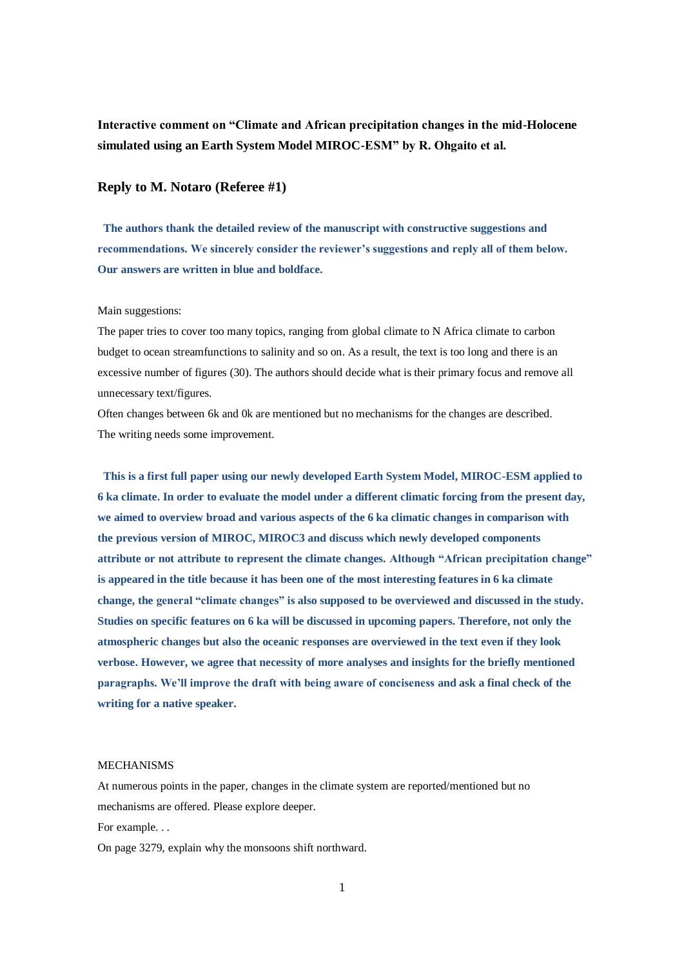**Interactive comment on "Climate and African precipitation changes in the mid-Holocene simulated using an Earth System Model MIROC-ESM" by R. Ohgaito et al.**

# **Reply to M. Notaro (Referee #1)**

**The authors thank the detailed review of the manuscript with constructive suggestions and recommendations. We sincerely consider the reviewer's suggestions and reply all of them below. Our answers are written in blue and boldface.**

### Main suggestions:

The paper tries to cover too many topics, ranging from global climate to N Africa climate to carbon budget to ocean streamfunctions to salinity and so on. As a result, the text is too long and there is an excessive number of figures (30). The authors should decide what is their primary focus and remove all unnecessary text/figures.

Often changes between 6k and 0k are mentioned but no mechanisms for the changes are described. The writing needs some improvement.

**This is a first full paper using our newly developed Earth System Model, MIROC-ESM applied to 6 ka climate. In order to evaluate the model under a different climatic forcing from the present day, we aimed to overview broad and various aspects of the 6 ka climatic changes in comparison with the previous version of MIROC, MIROC3 and discuss which newly developed components attribute or not attribute to represent the climate changes. Although "African precipitation change" is appeared in the title because it has been one of the most interesting features in 6 ka climate change, the general "climate changes" is also supposed to be overviewed and discussed in the study. Studies on specific features on 6 ka will be discussed in upcoming papers. Therefore, not only the atmospheric changes but also the oceanic responses are overviewed in the text even if they look verbose. However, we agree that necessity of more analyses and insights for the briefly mentioned paragraphs. We'll improve the draft with being aware of conciseness and ask a final check of the writing for a native speaker.**

### MECHANISMS

At numerous points in the paper, changes in the climate system are reported/mentioned but no mechanisms are offered. Please explore deeper.

For example. . .

On page 3279, explain why the monsoons shift northward.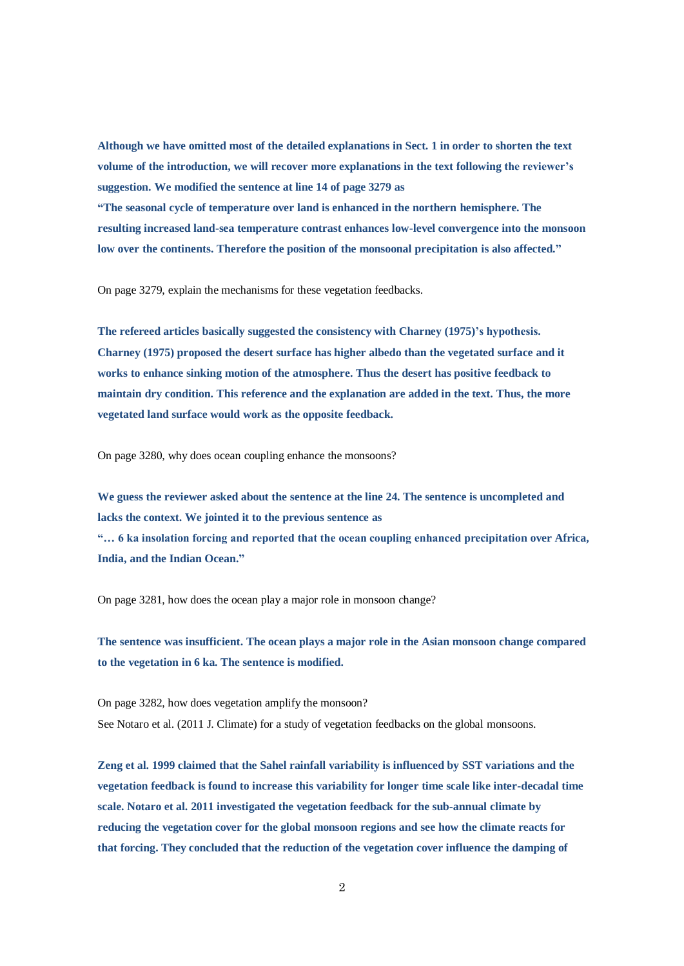**Although we have omitted most of the detailed explanations in Sect. 1 in order to shorten the text volume of the introduction, we will recover more explanations in the text following the reviewer's suggestion. We modified the sentence at line 14 of page 3279 as "The seasonal cycle of temperature over land is enhanced in the northern hemisphere. The** 

**resulting increased land-sea temperature contrast enhances low-level convergence into the monsoon low over the continents. Therefore the position of the monsoonal precipitation is also affected."**

On page 3279, explain the mechanisms for these vegetation feedbacks.

**The refereed articles basically suggested the consistency with Charney (1975)'s hypothesis. Charney (1975) proposed the desert surface has higher albedo than the vegetated surface and it works to enhance sinking motion of the atmosphere. Thus the desert has positive feedback to maintain dry condition. This reference and the explanation are added in the text. Thus, the more vegetated land surface would work as the opposite feedback.**

On page 3280, why does ocean coupling enhance the monsoons?

**We guess the reviewer asked about the sentence at the line 24. The sentence is uncompleted and lacks the context. We jointed it to the previous sentence as "… 6 ka insolation forcing and reported that the ocean coupling enhanced precipitation over Africa, India, and the Indian Ocean."** 

On page 3281, how does the ocean play a major role in monsoon change?

**The sentence was insufficient. The ocean plays a major role in the Asian monsoon change compared to the vegetation in 6 ka. The sentence is modified.**

On page 3282, how does vegetation amplify the monsoon? See Notaro et al. (2011 J. Climate) for a study of vegetation feedbacks on the global monsoons.

**Zeng et al. 1999 claimed that the Sahel rainfall variability is influenced by SST variations and the vegetation feedback is found to increase this variability for longer time scale like inter-decadal time scale. Notaro et al. 2011 investigated the vegetation feedback for the sub-annual climate by reducing the vegetation cover for the global monsoon regions and see how the climate reacts for that forcing. They concluded that the reduction of the vegetation cover influence the damping of**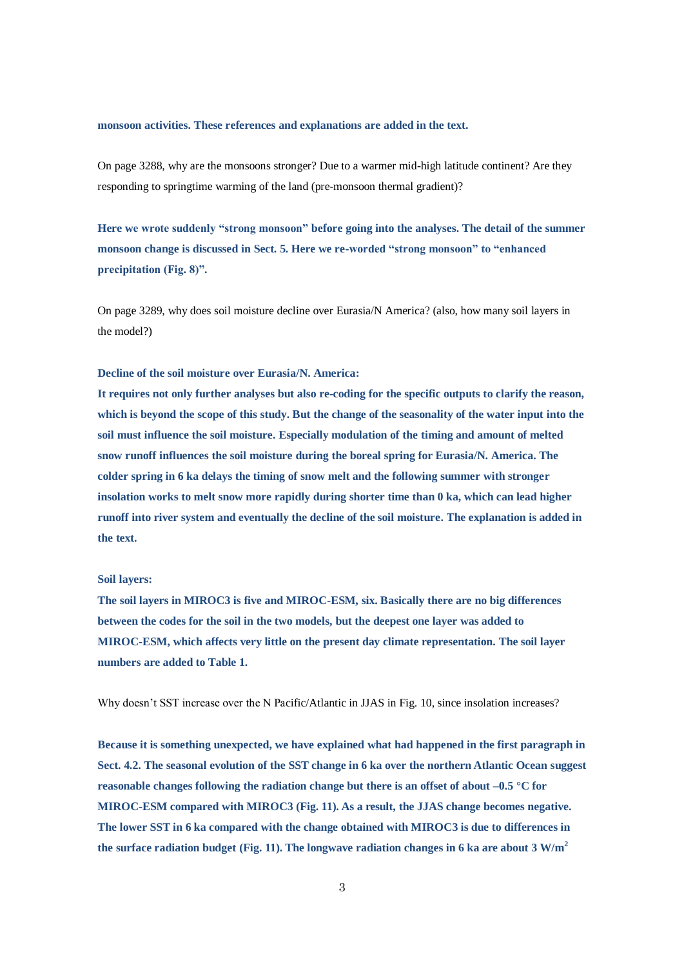#### **monsoon activities. These references and explanations are added in the text.**

On page 3288, why are the monsoons stronger? Due to a warmer mid-high latitude continent? Are they responding to springtime warming of the land (pre-monsoon thermal gradient)?

**Here we wrote suddenly "strong monsoon" before going into the analyses. The detail of the summer monsoon change is discussed in Sect. 5. Here we re-worded "strong monsoon" to "enhanced precipitation (Fig. 8)".**

On page 3289, why does soil moisture decline over Eurasia/N America? (also, how many soil layers in the model?)

# **Decline of the soil moisture over Eurasia/N. America:**

**It requires not only further analyses but also re-coding for the specific outputs to clarify the reason, which is beyond the scope of this study. But the change of the seasonality of the water input into the soil must influence the soil moisture. Especially modulation of the timing and amount of melted snow runoff influences the soil moisture during the boreal spring for Eurasia/N. America. The colder spring in 6 ka delays the timing of snow melt and the following summer with stronger insolation works to melt snow more rapidly during shorter time than 0 ka, which can lead higher runoff into river system and eventually the decline of the soil moisture. The explanation is added in the text.** 

### **Soil layers:**

**The soil layers in MIROC3 is five and MIROC-ESM, six. Basically there are no big differences between the codes for the soil in the two models, but the deepest one layer was added to MIROC-ESM, which affects very little on the present day climate representation. The soil layer numbers are added to Table 1.**

Why doesn't SST increase over the N Pacific/Atlantic in JJAS in Fig. 10, since insolation increases?

**Because it is something unexpected, we have explained what had happened in the first paragraph in Sect. 4.2. The seasonal evolution of the SST change in 6 ka over the northern Atlantic Ocean suggest reasonable changes following the radiation change but there is an offset of about –0.5 °C for MIROC-ESM compared with MIROC3 (Fig. 11). As a result, the JJAS change becomes negative. The lower SST in 6 ka compared with the change obtained with MIROC3 is due to differences in the surface radiation budget (Fig. 11). The longwave radiation changes in 6 ka are about 3 W/m<sup>2</sup>**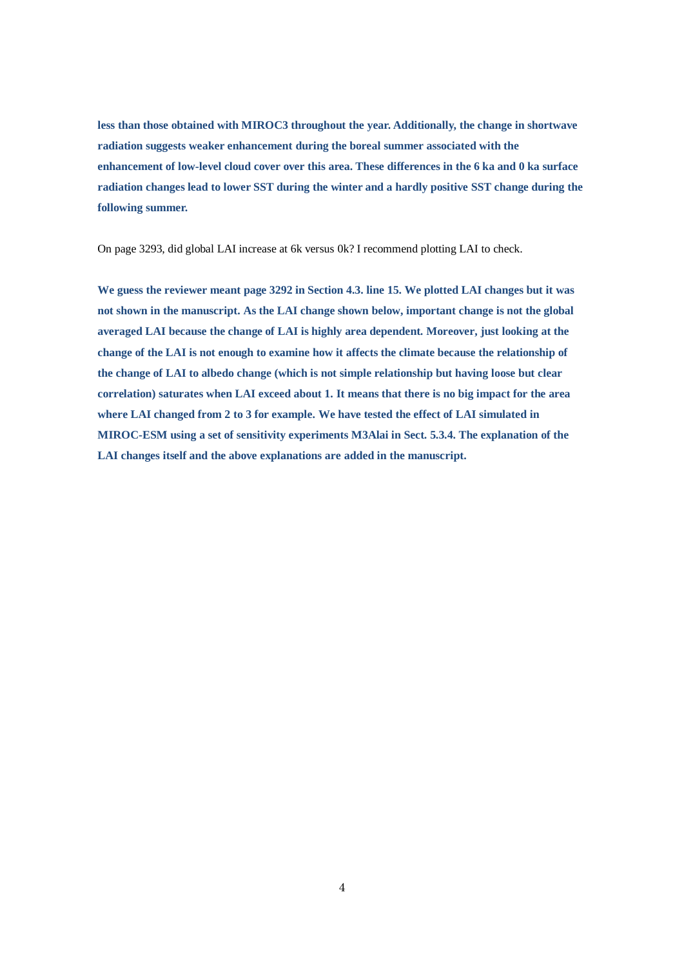**less than those obtained with MIROC3 throughout the year. Additionally, the change in shortwave radiation suggests weaker enhancement during the boreal summer associated with the enhancement of low-level cloud cover over this area. These differences in the 6 ka and 0 ka surface radiation changes lead to lower SST during the winter and a hardly positive SST change during the following summer.**

On page 3293, did global LAI increase at 6k versus 0k? I recommend plotting LAI to check.

**We guess the reviewer meant page 3292 in Section 4.3. line 15. We plotted LAI changes but it was not shown in the manuscript. As the LAI change shown below, important change is not the global averaged LAI because the change of LAI is highly area dependent. Moreover, just looking at the change of the LAI is not enough to examine how it affects the climate because the relationship of the change of LAI to albedo change (which is not simple relationship but having loose but clear correlation) saturates when LAI exceed about 1. It means that there is no big impact for the area where LAI changed from 2 to 3 for example. We have tested the effect of LAI simulated in MIROC-ESM using a set of sensitivity experiments M3Alai in Sect. 5.3.4. The explanation of the LAI changes itself and the above explanations are added in the manuscript.**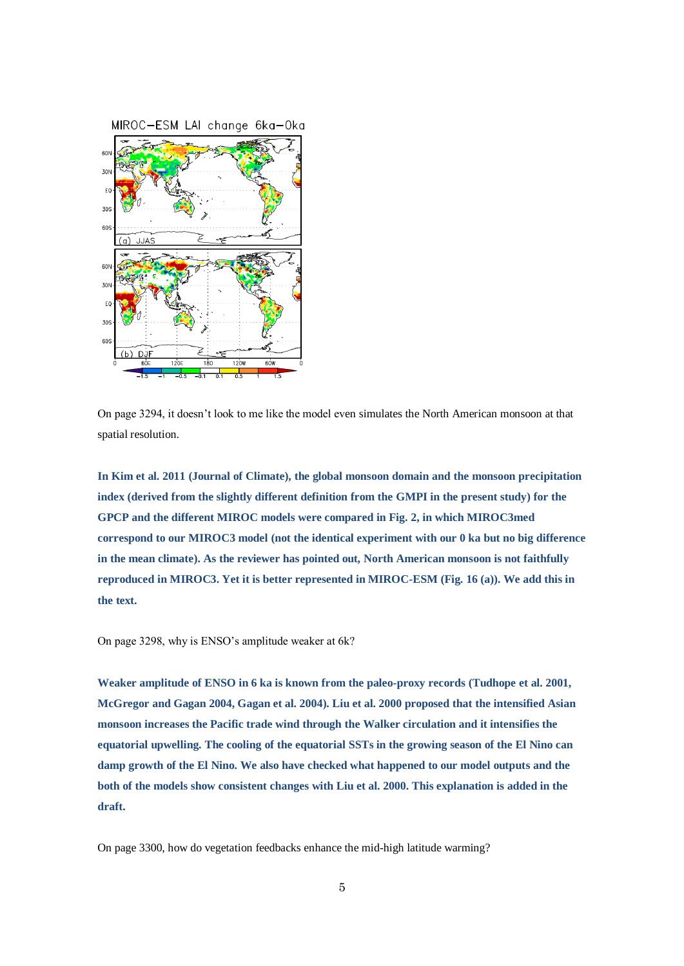

On page 3294, it doesn't look to me like the model even simulates the North American monsoon at that spatial resolution.

**In Kim et al. 2011 (Journal of Climate), the global monsoon domain and the monsoon precipitation index (derived from the slightly different definition from the GMPI in the present study) for the GPCP and the different MIROC models were compared in Fig. 2, in which MIROC3med correspond to our MIROC3 model (not the identical experiment with our 0 ka but no big difference in the mean climate). As the reviewer has pointed out, North American monsoon is not faithfully reproduced in MIROC3. Yet it is better represented in MIROC-ESM (Fig. 16 (a)). We add this in the text.**

On page 3298, why is ENSO's amplitude weaker at 6k?

**Weaker amplitude of ENSO in 6 ka is known from the paleo-proxy records (Tudhope et al. 2001, McGregor and Gagan 2004, Gagan et al. 2004). Liu et al. 2000 proposed that the intensified Asian monsoon increases the Pacific trade wind through the Walker circulation and it intensifies the equatorial upwelling. The cooling of the equatorial SSTs in the growing season of the El Nino can damp growth of the El Nino. We also have checked what happened to our model outputs and the both of the models show consistent changes with Liu et al. 2000. This explanation is added in the draft.**

On page 3300, how do vegetation feedbacks enhance the mid-high latitude warming?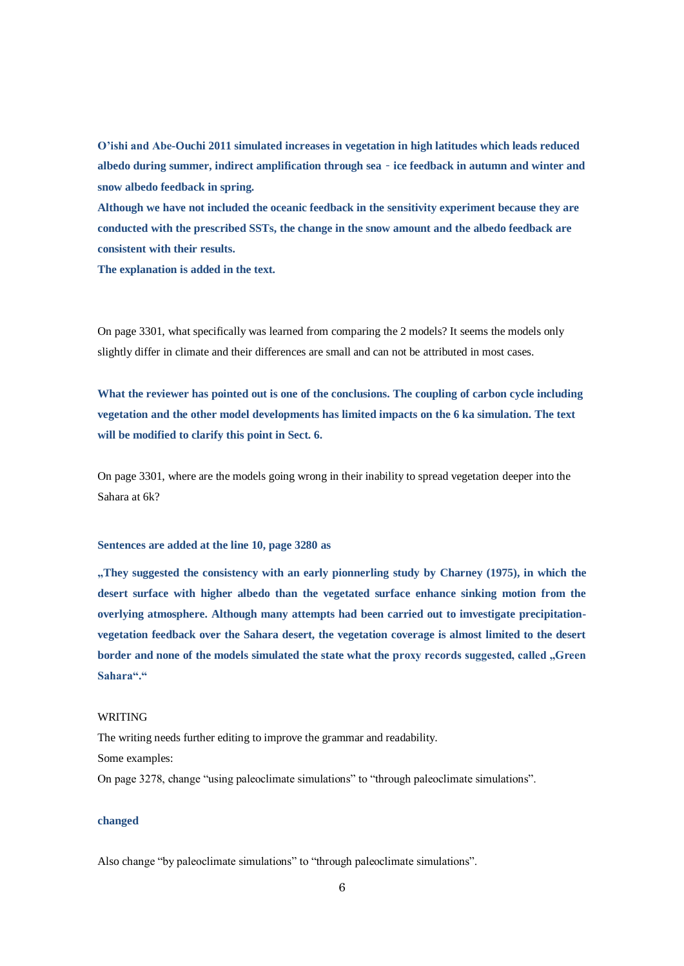**O'ishi and Abe-Ouchi 2011 simulated increases in vegetation in high latitudes which leads reduced albedo during summer, indirect amplification through sea**‐**ice feedback in autumn and winter and snow albedo feedback in spring.**

**Although we have not included the oceanic feedback in the sensitivity experiment because they are conducted with the prescribed SSTs, the change in the snow amount and the albedo feedback are consistent with their results.**

**The explanation is added in the text.**

On page 3301, what specifically was learned from comparing the 2 models? It seems the models only slightly differ in climate and their differences are small and can not be attributed in most cases.

**What the reviewer has pointed out is one of the conclusions. The coupling of carbon cycle including vegetation and the other model developments has limited impacts on the 6 ka simulation. The text will be modified to clarify this point in Sect. 6.** 

On page 3301, where are the models going wrong in their inability to spread vegetation deeper into the Sahara at 6k?

### **Sentences are added at the line 10, page 3280 as**

**"They suggested the consistency with an early pionnerling study by Charney (1975), in which the desert surface with higher albedo than the vegetated surface enhance sinking motion from the overlying atmosphere. Although many attempts had been carried out to imvestigate precipitationvegetation feedback over the Sahara desert, the vegetation coverage is almost limited to the desert**  border and none of the models simulated the state what the proxy records suggested, called "Green **Sahara"."**

#### WRITING

The writing needs further editing to improve the grammar and readability. Some examples: On page 3278, change "using paleoclimate simulations" to "through paleoclimate simulations".

### **changed**

Also change "by paleoclimate simulations" to "through paleoclimate simulations".

6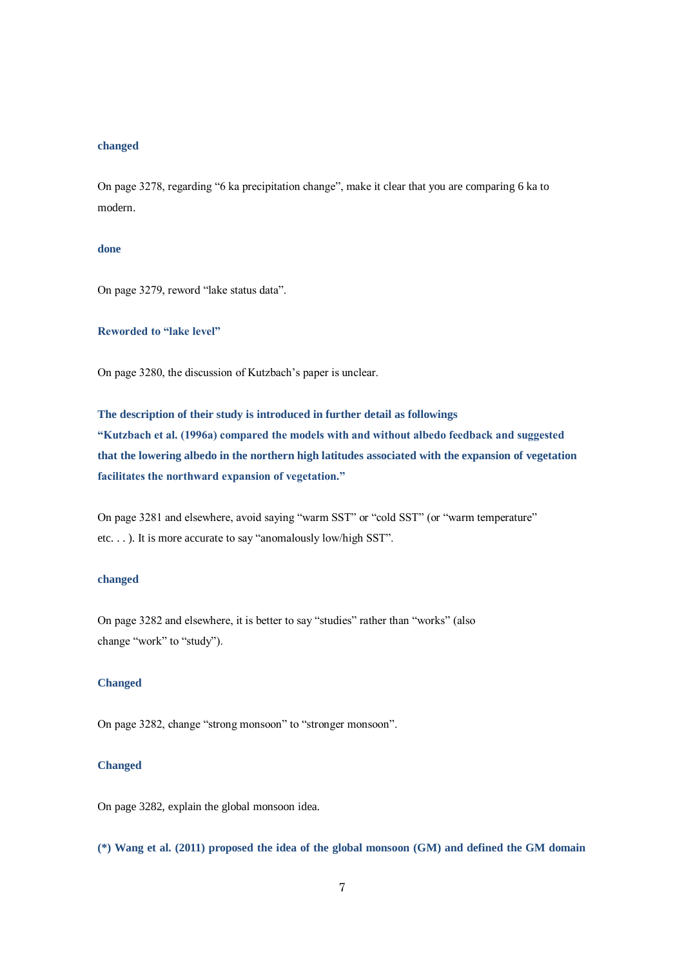# **changed**

On page 3278, regarding "6 ka precipitation change", make it clear that you are comparing 6 ka to modern.

# **done**

On page 3279, reword "lake status data".

# **Reworded to "lake level"**

On page 3280, the discussion of Kutzbach's paper is unclear.

**The description of their study is introduced in further detail as followings "Kutzbach et al. (1996a) compared the models with and without albedo feedback and suggested that the lowering albedo in the northern high latitudes associated with the expansion of vegetation facilitates the northward expansion of vegetation."**

On page 3281 and elsewhere, avoid saying "warm SST" or "cold SST" (or "warm temperature" etc. . . ). It is more accurate to say "anomalously low/high SST".

## **changed**

On page 3282 and elsewhere, it is better to say "studies" rather than "works" (also change "work" to "study").

# **Changed**

On page 3282, change "strong monsoon" to "stronger monsoon".

# **Changed**

On page 3282, explain the global monsoon idea.

**(\*) Wang et al. (2011) proposed the idea of the global monsoon (GM) and defined the GM domain**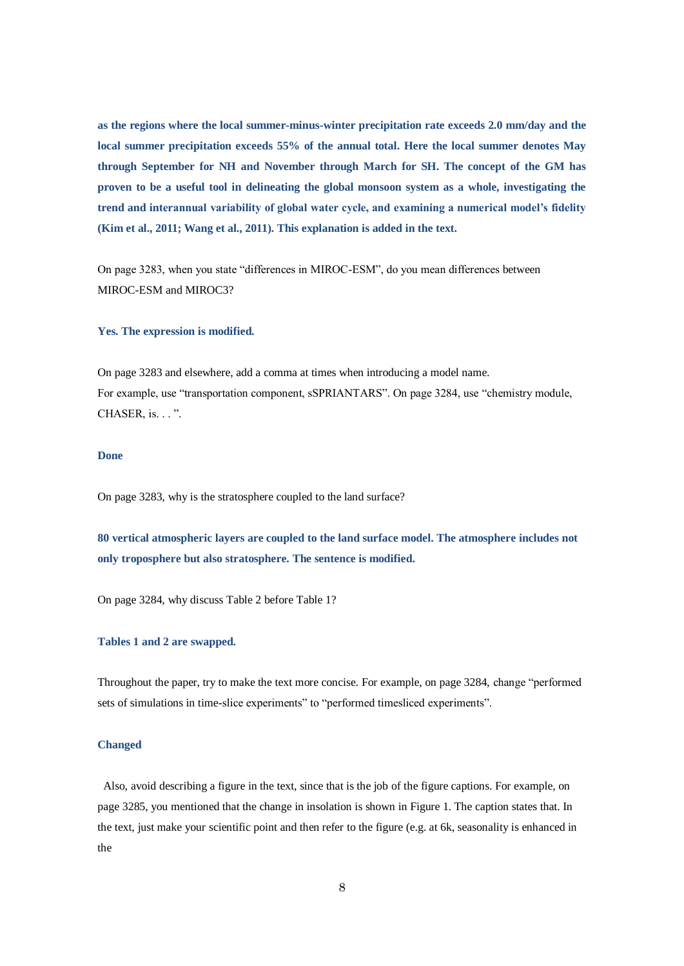**as the regions where the local summer-minus-winter precipitation rate exceeds 2.0 mm/day and the local summer precipitation exceeds 55% of the annual total. Here the local summer denotes May through September for NH and November through March for SH. The concept of the GM has proven to be a useful tool in delineating the global monsoon system as a whole, investigating the trend and interannual variability of global water cycle, and examining a numerical model's fidelity (Kim et al., 2011; Wang et al., 2011). This explanation is added in the text.**

On page 3283, when you state "differences in MIROC-ESM", do you mean differences between MIROC-ESM and MIROC3?

# **Yes. The expression is modified.**

On page 3283 and elsewhere, add a comma at times when introducing a model name. For example, use "transportation component, sSPRIANTARS". On page 3284, use "chemistry module, CHASER, is. . . ".

### **Done**

On page 3283, why is the stratosphere coupled to the land surface?

**80 vertical atmospheric layers are coupled to the land surface model. The atmosphere includes not only troposphere but also stratosphere. The sentence is modified.**

On page 3284, why discuss Table 2 before Table 1?

### **Tables 1 and 2 are swapped.**

Throughout the paper, try to make the text more concise. For example, on page 3284, change "performed sets of simulations in time-slice experiments" to "performed timesliced experiments".

#### **Changed**

Also, avoid describing a figure in the text, since that is the job of the figure captions. For example, on page 3285, you mentioned that the change in insolation is shown in Figure 1. The caption states that. In the text, just make your scientific point and then refer to the figure (e.g. at 6k, seasonality is enhanced in the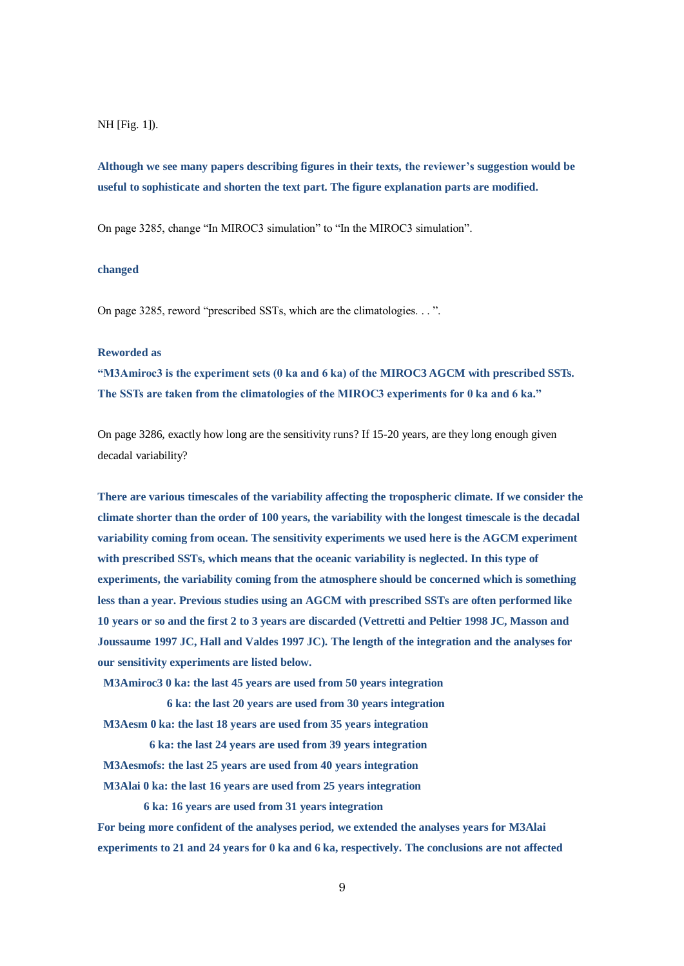### NH [Fig. 1]).

**Although we see many papers describing figures in their texts, the reviewer's suggestion would be useful to sophisticate and shorten the text part. The figure explanation parts are modified.**

On page 3285, change "In MIROC3 simulation" to "In the MIROC3 simulation".

# **changed**

On page 3285, reword "prescribed SSTs, which are the climatologies. . . ".

### **Reworded as**

**"M3Amiroc3 is the experiment sets (0 ka and 6 ka) of the MIROC3 AGCM with prescribed SSTs. The SSTs are taken from the climatologies of the MIROC3 experiments for 0 ka and 6 ka."** 

On page 3286, exactly how long are the sensitivity runs? If 15-20 years, are they long enough given decadal variability?

**There are various timescales of the variability affecting the tropospheric climate. If we consider the climate shorter than the order of 100 years, the variability with the longest timescale is the decadal variability coming from ocean. The sensitivity experiments we used here is the AGCM experiment with prescribed SSTs, which means that the oceanic variability is neglected. In this type of experiments, the variability coming from the atmosphere should be concerned which is something less than a year. Previous studies using an AGCM with prescribed SSTs are often performed like 10 years or so and the first 2 to 3 years are discarded (Vettretti and Peltier 1998 JC, Masson and Joussaume 1997 JC, Hall and Valdes 1997 JC). The length of the integration and the analyses for our sensitivity experiments are listed below.**

**M3Amiroc3 0 ka: the last 45 years are used from 50 years integration** 

**6 ka: the last 20 years are used from 30 years integration**

**M3Aesm 0 ka: the last 18 years are used from 35 years integration** 

**6 ka: the last 24 years are used from 39 years integration M3Aesmofs: the last 25 years are used from 40 years integration M3Alai 0 ka: the last 16 years are used from 25 years integration**

**6 ka: 16 years are used from 31 years integration**

**For being more confident of the analyses period, we extended the analyses years for M3Alai experiments to 21 and 24 years for 0 ka and 6 ka, respectively. The conclusions are not affected**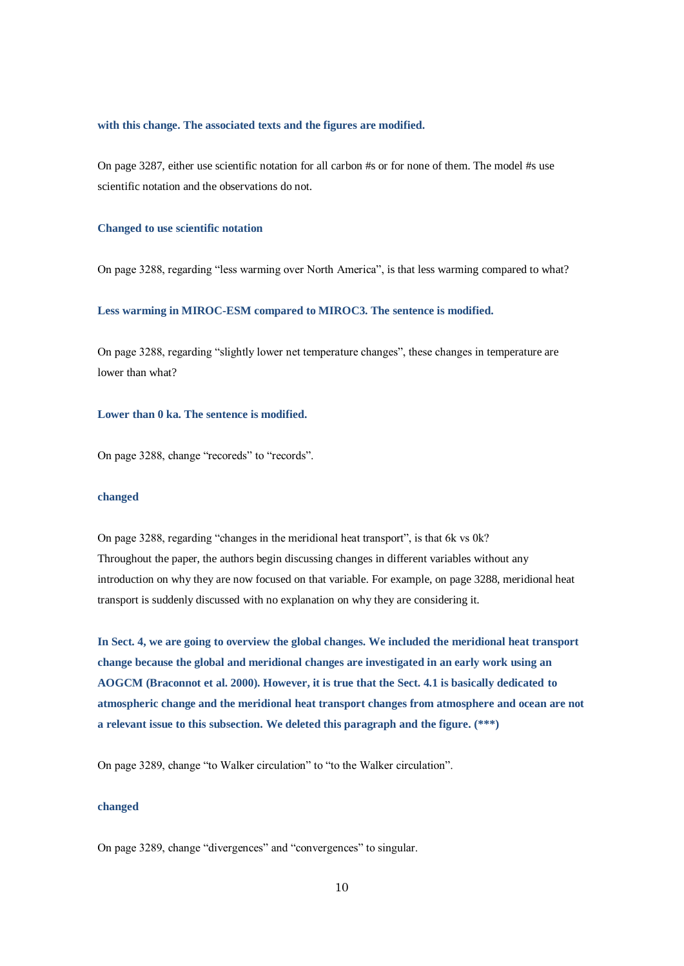#### **with this change. The associated texts and the figures are modified.**

On page 3287, either use scientific notation for all carbon #s or for none of them. The model #s use scientific notation and the observations do not.

### **Changed to use scientific notation**

On page 3288, regarding "less warming over North America", is that less warming compared to what?

# **Less warming in MIROC-ESM compared to MIROC3. The sentence is modified.**

On page 3288, regarding "slightly lower net temperature changes", these changes in temperature are lower than what?

# **Lower than 0 ka. The sentence is modified.**

On page 3288, change "recoreds" to "records".

### **changed**

On page 3288, regarding "changes in the meridional heat transport", is that 6k vs 0k? Throughout the paper, the authors begin discussing changes in different variables without any introduction on why they are now focused on that variable. For example, on page 3288, meridional heat transport is suddenly discussed with no explanation on why they are considering it.

**In Sect. 4, we are going to overview the global changes. We included the meridional heat transport change because the global and meridional changes are investigated in an early work using an AOGCM (Braconnot et al. 2000). However, it is true that the Sect. 4.1 is basically dedicated to atmospheric change and the meridional heat transport changes from atmosphere and ocean are not a relevant issue to this subsection. We deleted this paragraph and the figure. (\*\*\*)**

On page 3289, change "to Walker circulation" to "to the Walker circulation".

# **changed**

On page 3289, change "divergences" and "convergences" to singular.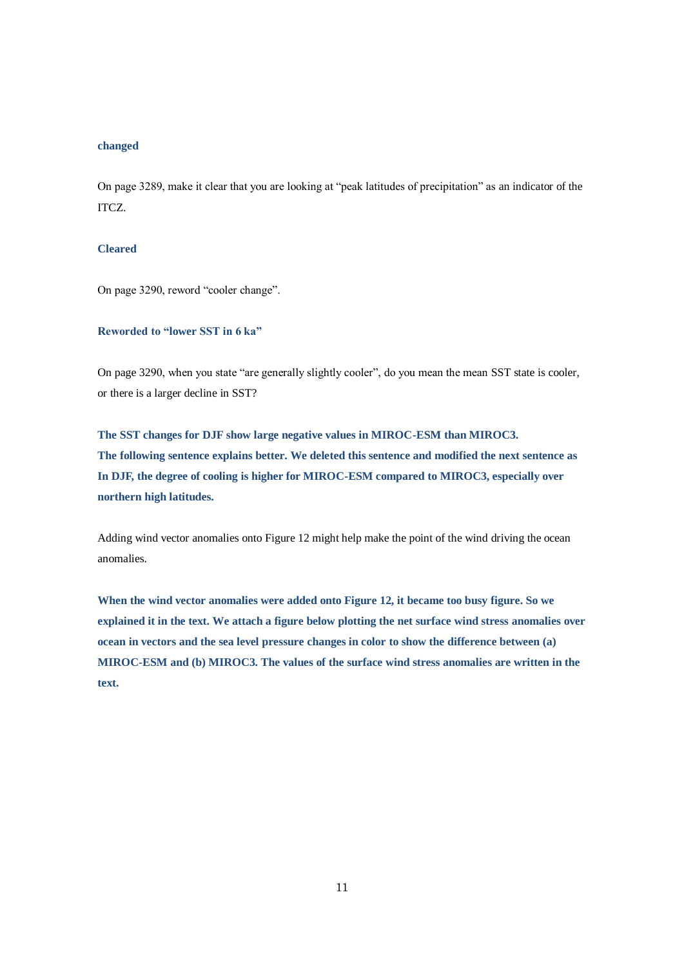# **changed**

On page 3289, make it clear that you are looking at "peak latitudes of precipitation" as an indicator of the ITCZ.

# **Cleared**

On page 3290, reword "cooler change".

# **Reworded to "lower SST in 6 ka"**

On page 3290, when you state "are generally slightly cooler", do you mean the mean SST state is cooler, or there is a larger decline in SST?

**The SST changes for DJF show large negative values in MIROC-ESM than MIROC3. The following sentence explains better. We deleted this sentence and modified the next sentence as In DJF, the degree of cooling is higher for MIROC-ESM compared to MIROC3, especially over northern high latitudes.**

Adding wind vector anomalies onto Figure 12 might help make the point of the wind driving the ocean anomalies.

**When the wind vector anomalies were added onto Figure 12, it became too busy figure. So we explained it in the text. We attach a figure below plotting the net surface wind stress anomalies over ocean in vectors and the sea level pressure changes in color to show the difference between (a) MIROC-ESM and (b) MIROC3. The values of the surface wind stress anomalies are written in the text.**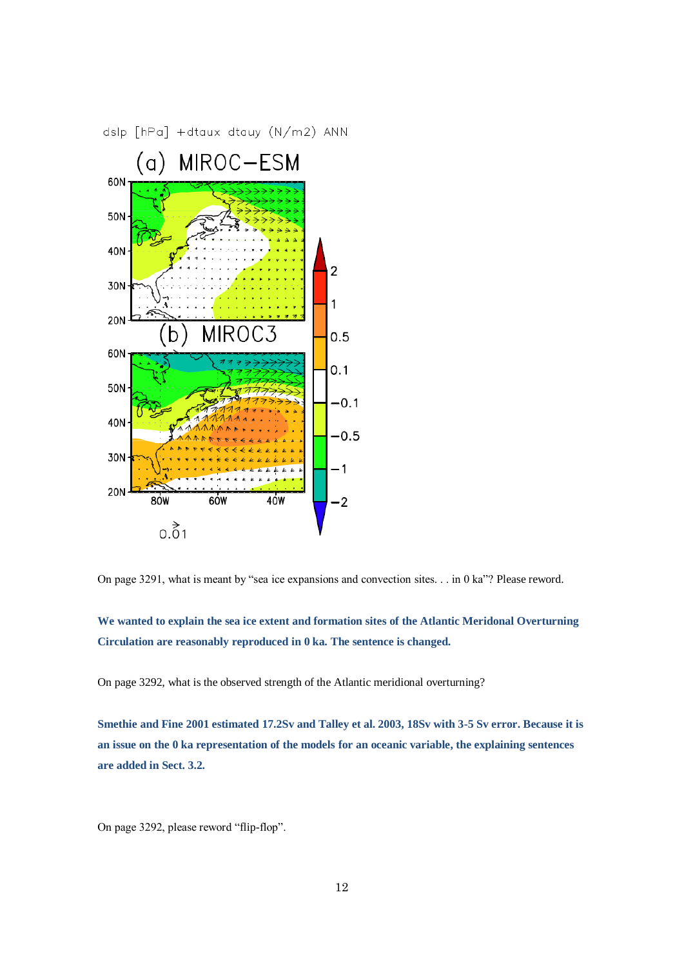

On page 3291, what is meant by "sea ice expansions and convection sites. . . in 0 ka"? Please reword.

**We wanted to explain the sea ice extent and formation sites of the Atlantic Meridonal Overturning Circulation are reasonably reproduced in 0 ka. The sentence is changed.**

On page 3292, what is the observed strength of the Atlantic meridional overturning?

**Smethie and Fine 2001 estimated 17.2Sv and Talley et al. 2003, 18Sv with 3-5 Sv error. Because it is an issue on the 0 ka representation of the models for an oceanic variable, the explaining sentences are added in Sect. 3.2.**

On page 3292, please reword "flip-flop".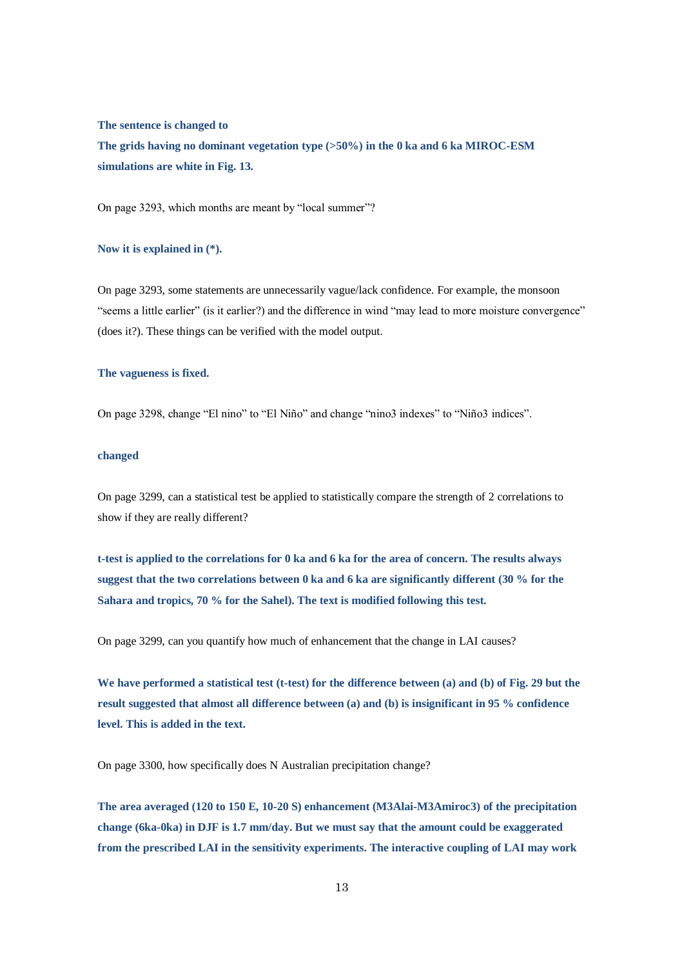**The sentence is changed to**

**The grids having no dominant vegetation type (>50%) in the 0 ka and 6 ka MIROC-ESM simulations are white in Fig. 13.**

On page 3293, which months are meant by "local summer"?

# **Now it is explained in (\*).**

On page 3293, some statements are unnecessarily vague/lack confidence. For example, the monsoon "seems a little earlier" (is it earlier?) and the difference in wind "may lead to more moisture convergence" (does it?). These things can be verified with the model output.

### **The vagueness is fixed.**

On page 3298, change "El nino" to "El Niño" and change "nino3 indexes" to "Niño3 indices".

### **changed**

On page 3299, can a statistical test be applied to statistically compare the strength of 2 correlations to show if they are really different?

**t-test is applied to the correlations for 0 ka and 6 ka for the area of concern. The results always suggest that the two correlations between 0 ka and 6 ka are significantly different (30 % for the Sahara and tropics, 70 % for the Sahel). The text is modified following this test.**

On page 3299, can you quantify how much of enhancement that the change in LAI causes?

**We have performed a statistical test (t-test) for the difference between (a) and (b) of Fig. 29 but the result suggested that almost all difference between (a) and (b) is insignificant in 95 % confidence level. This is added in the text.**

On page 3300, how specifically does N Australian precipitation change?

**The area averaged (120 to 150 E, 10-20 S) enhancement (M3Alai-M3Amiroc3) of the precipitation change (6ka-0ka) in DJF is 1.7 mm/day. But we must say that the amount could be exaggerated from the prescribed LAI in the sensitivity experiments. The interactive coupling of LAI may work**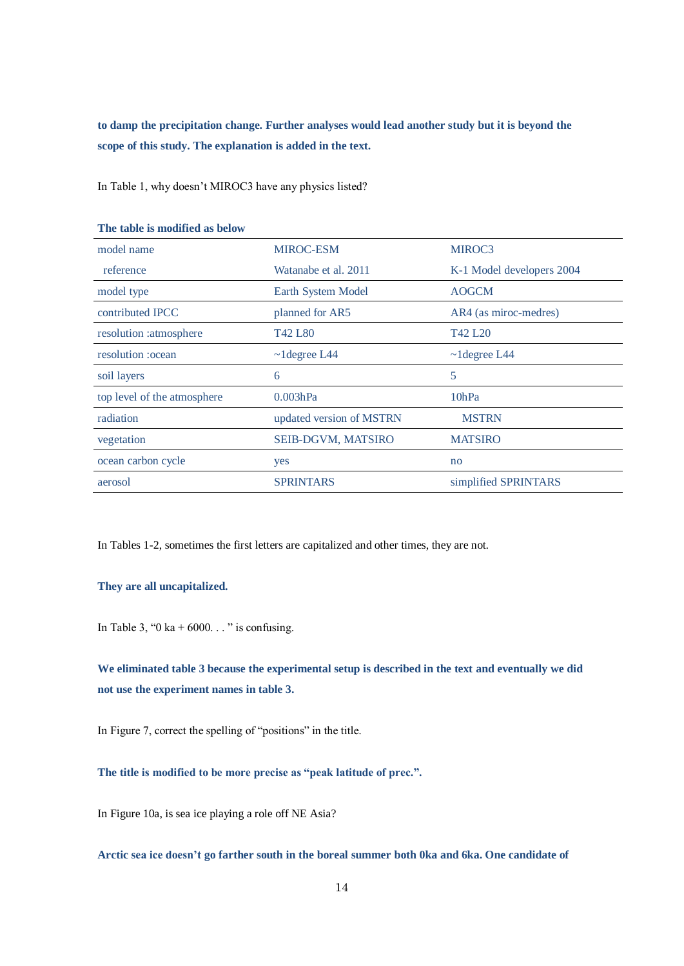**to damp the precipitation change. Further analyses would lead another study but it is beyond the scope of this study. The explanation is added in the text.**

In Table 1, why doesn't MIROC3 have any physics listed?

| model name                  | <b>MIROC-ESM</b>                | MIROC3                          |
|-----------------------------|---------------------------------|---------------------------------|
| reference                   | Watanabe et al. 2011            | K-1 Model developers 2004       |
| model type                  | Earth System Model              | <b>AOGCM</b>                    |
| contributed IPCC            | planned for AR5                 | AR4 (as miroc-medres)           |
| resolution :atmosphere      | T <sub>42</sub> L <sub>80</sub> | T <sub>42</sub> L <sub>20</sub> |
| resolution :ocean           | $\sim$ 1 degree L44             | $\sim$ 1 degree L44             |
| soil layers                 | 6                               | 5                               |
| top level of the atmosphere | 0.003hPa                        | 10hPa                           |
| radiation                   | updated version of MSTRN        | <b>MSTRN</b>                    |
| vegetation                  | <b>SEIB-DGVM, MATSIRO</b>       | <b>MATSIRO</b>                  |
| ocean carbon cycle          | yes                             | no                              |
| aerosol                     | <b>SPRINTARS</b>                | simplified SPRINTARS            |

### **The table is modified as below**

In Tables 1-2, sometimes the first letters are capitalized and other times, they are not.

# **They are all uncapitalized.**

In Table 3, "0 ka + 6000..." is confusing.

**We eliminated table 3 because the experimental setup is described in the text and eventually we did not use the experiment names in table 3.**

In Figure 7, correct the spelling of "positions" in the title.

**The title is modified to be more precise as "peak latitude of prec.".**

In Figure 10a, is sea ice playing a role off NE Asia?

**Arctic sea ice doesn't go farther south in the boreal summer both 0ka and 6ka. One candidate of**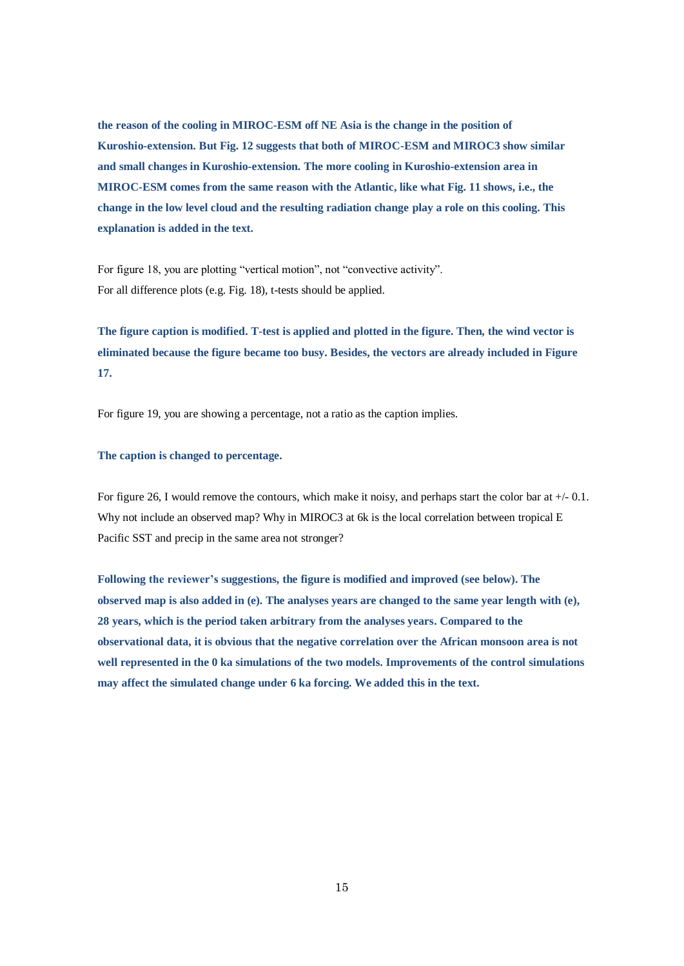**the reason of the cooling in MIROC-ESM off NE Asia is the change in the position of Kuroshio-extension. But Fig. 12 suggests that both of MIROC-ESM and MIROC3 show similar and small changes in Kuroshio-extension. The more cooling in Kuroshio-extension area in MIROC-ESM comes from the same reason with the Atlantic, like what Fig. 11 shows, i.e., the change in the low level cloud and the resulting radiation change play a role on this cooling. This explanation is added in the text.**

For figure 18, you are plotting "vertical motion", not "convective activity". For all difference plots (e.g. Fig. 18), t-tests should be applied.

**The figure caption is modified. T-test is applied and plotted in the figure. Then, the wind vector is eliminated because the figure became too busy. Besides, the vectors are already included in Figure 17.**

For figure 19, you are showing a percentage, not a ratio as the caption implies.

### **The caption is changed to percentage.**

For figure 26, I would remove the contours, which make it noisy, and perhaps start the color bar at  $+/-0.1$ . Why not include an observed map? Why in MIROC3 at 6k is the local correlation between tropical E Pacific SST and precip in the same area not stronger?

**Following the reviewer's suggestions, the figure is modified and improved (see below). The observed map is also added in (e). The analyses years are changed to the same year length with (e), 28 years, which is the period taken arbitrary from the analyses years. Compared to the observational data, it is obvious that the negative correlation over the African monsoon area is not well represented in the 0 ka simulations of the two models. Improvements of the control simulations may affect the simulated change under 6 ka forcing. We added this in the text.**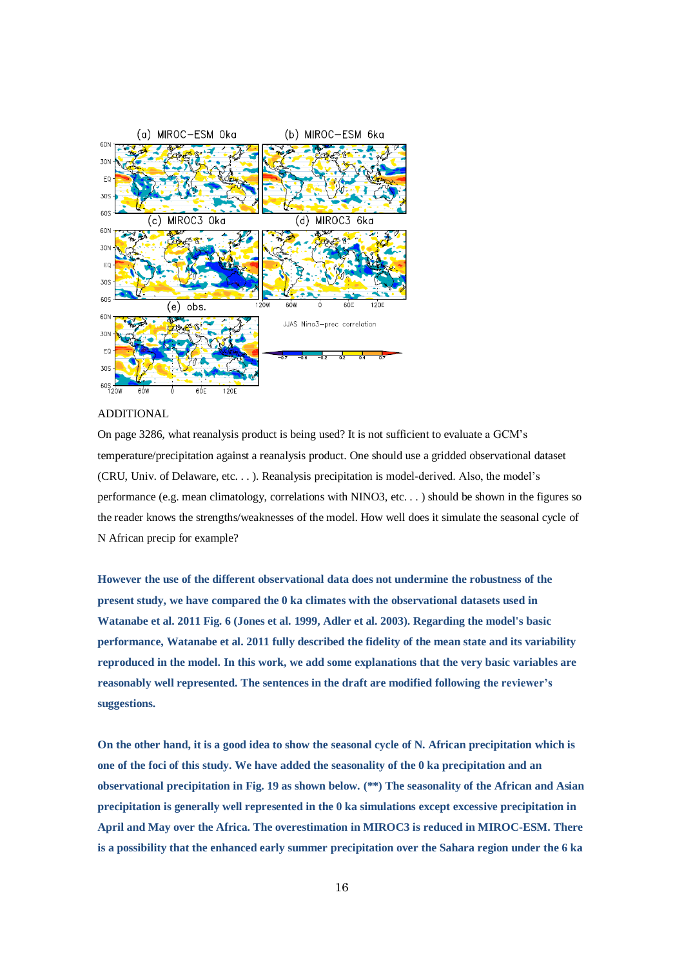

#### ADDITIONAL

On page 3286, what reanalysis product is being used? It is not sufficient to evaluate a GCM's temperature/precipitation against a reanalysis product. One should use a gridded observational dataset (CRU, Univ. of Delaware, etc. . . ). Reanalysis precipitation is model-derived. Also, the model's performance (e.g. mean climatology, correlations with NINO3, etc. . . ) should be shown in the figures so the reader knows the strengths/weaknesses of the model. How well does it simulate the seasonal cycle of N African precip for example?

**However the use of the different observational data does not undermine the robustness of the present study, we have compared the 0 ka climates with the observational datasets used in Watanabe et al. 2011 Fig. 6 (Jones et al. 1999, Adler et al. 2003). Regarding the model's basic performance, Watanabe et al. 2011 fully described the fidelity of the mean state and its variability reproduced in the model. In this work, we add some explanations that the very basic variables are reasonably well represented. The sentences in the draft are modified following the reviewer's suggestions.**

**On the other hand, it is a good idea to show the seasonal cycle of N. African precipitation which is one of the foci of this study. We have added the seasonality of the 0 ka precipitation and an observational precipitation in Fig. 19 as shown below. (\*\*) The seasonality of the African and Asian precipitation is generally well represented in the 0 ka simulations except excessive precipitation in April and May over the Africa. The overestimation in MIROC3 is reduced in MIROC-ESM. There is a possibility that the enhanced early summer precipitation over the Sahara region under the 6 ka**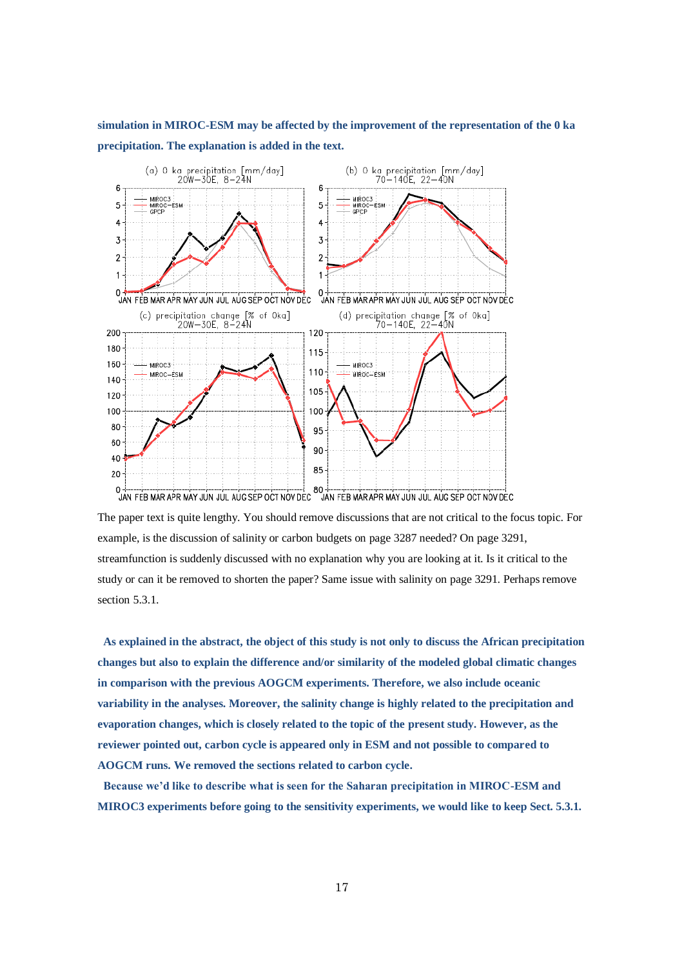**simulation in MIROC-ESM may be affected by the improvement of the representation of the 0 ka precipitation. The explanation is added in the text.** 



The paper text is quite lengthy. You should remove discussions that are not critical to the focus topic. For example, is the discussion of salinity or carbon budgets on page 3287 needed? On page 3291, streamfunction is suddenly discussed with no explanation why you are looking at it. Is it critical to the study or can it be removed to shorten the paper? Same issue with salinity on page 3291. Perhaps remove section 5.3.1.

**As explained in the abstract, the object of this study is not only to discuss the African precipitation changes but also to explain the difference and/or similarity of the modeled global climatic changes in comparison with the previous AOGCM experiments. Therefore, we also include oceanic variability in the analyses. Moreover, the salinity change is highly related to the precipitation and evaporation changes, which is closely related to the topic of the present study. However, as the reviewer pointed out, carbon cycle is appeared only in ESM and not possible to compared to AOGCM runs. We removed the sections related to carbon cycle.**

**Because we'd like to describe what is seen for the Saharan precipitation in MIROC-ESM and MIROC3 experiments before going to the sensitivity experiments, we would like to keep Sect. 5.3.1.**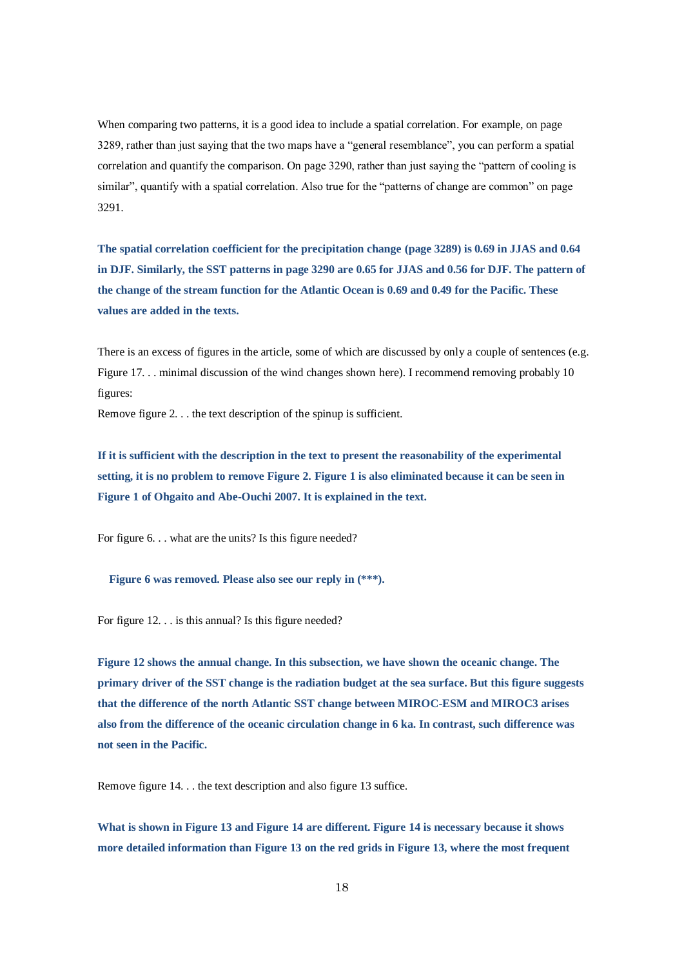When comparing two patterns, it is a good idea to include a spatial correlation. For example, on page 3289, rather than just saying that the two maps have a "general resemblance", you can perform a spatial correlation and quantify the comparison. On page 3290, rather than just saying the "pattern of cooling is similar", quantify with a spatial correlation. Also true for the "patterns of change are common" on page 3291.

**The spatial correlation coefficient for the precipitation change (page 3289) is 0.69 in JJAS and 0.64 in DJF. Similarly, the SST patterns in page 3290 are 0.65 for JJAS and 0.56 for DJF. The pattern of the change of the stream function for the Atlantic Ocean is 0.69 and 0.49 for the Pacific. These values are added in the texts.**

There is an excess of figures in the article, some of which are discussed by only a couple of sentences (e.g. Figure 17. . . minimal discussion of the wind changes shown here). I recommend removing probably 10 figures:

Remove figure 2. . . the text description of the spinup is sufficient.

**If it is sufficient with the description in the text to present the reasonability of the experimental setting, it is no problem to remove Figure 2. Figure 1 is also eliminated because it can be seen in Figure 1 of Ohgaito and Abe-Ouchi 2007. It is explained in the text.**

For figure 6. . . what are the units? Is this figure needed?

**Figure 6 was removed. Please also see our reply in (\*\*\*).**

For figure 12. . . is this annual? Is this figure needed?

**Figure 12 shows the annual change. In this subsection, we have shown the oceanic change. The primary driver of the SST change is the radiation budget at the sea surface. But this figure suggests that the difference of the north Atlantic SST change between MIROC-ESM and MIROC3 arises also from the difference of the oceanic circulation change in 6 ka. In contrast, such difference was not seen in the Pacific.**

Remove figure 14. . . the text description and also figure 13 suffice.

**What is shown in Figure 13 and Figure 14 are different. Figure 14 is necessary because it shows more detailed information than Figure 13 on the red grids in Figure 13, where the most frequent**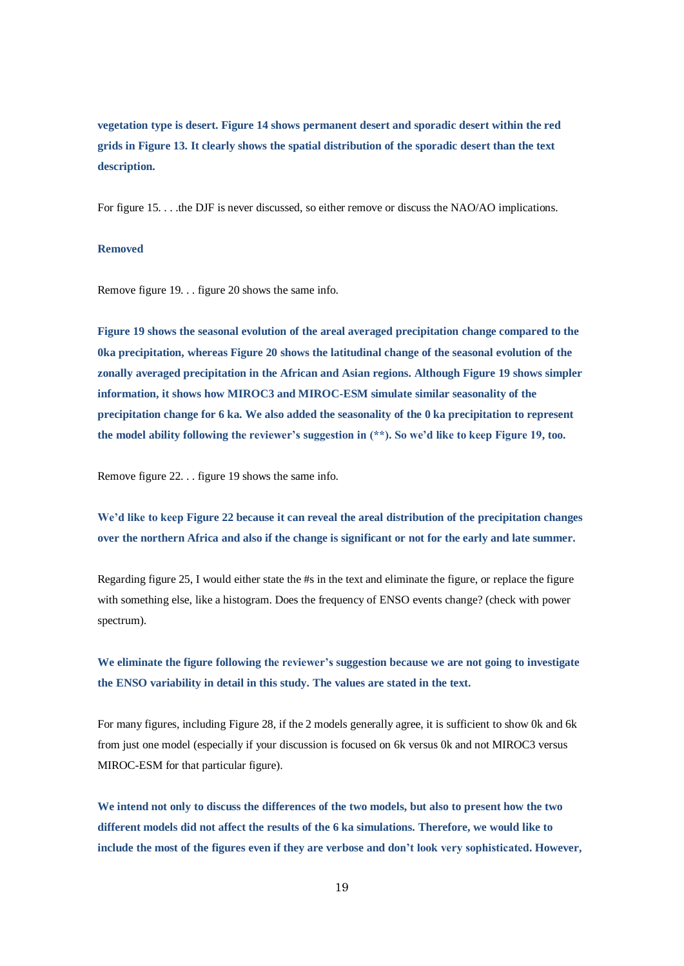**vegetation type is desert. Figure 14 shows permanent desert and sporadic desert within the red grids in Figure 13. It clearly shows the spatial distribution of the sporadic desert than the text description.**

For figure 15. . . .the DJF is never discussed, so either remove or discuss the NAO/AO implications.

# **Removed**

Remove figure 19. . . figure 20 shows the same info.

**Figure 19 shows the seasonal evolution of the areal averaged precipitation change compared to the 0ka precipitation, whereas Figure 20 shows the latitudinal change of the seasonal evolution of the zonally averaged precipitation in the African and Asian regions. Although Figure 19 shows simpler information, it shows how MIROC3 and MIROC-ESM simulate similar seasonality of the precipitation change for 6 ka. We also added the seasonality of the 0 ka precipitation to represent the model ability following the reviewer's suggestion in (\*\*). So we'd like to keep Figure 19, too.**

Remove figure 22. . . figure 19 shows the same info.

**We'd like to keep Figure 22 because it can reveal the areal distribution of the precipitation changes over the northern Africa and also if the change is significant or not for the early and late summer.**

Regarding figure 25, I would either state the #s in the text and eliminate the figure, or replace the figure with something else, like a histogram. Does the frequency of ENSO events change? (check with power spectrum).

**We eliminate the figure following the reviewer's suggestion because we are not going to investigate the ENSO variability in detail in this study. The values are stated in the text.**

For many figures, including Figure 28, if the 2 models generally agree, it is sufficient to show 0k and 6k from just one model (especially if your discussion is focused on 6k versus 0k and not MIROC3 versus MIROC-ESM for that particular figure).

**We intend not only to discuss the differences of the two models, but also to present how the two different models did not affect the results of the 6 ka simulations. Therefore, we would like to include the most of the figures even if they are verbose and don't look very sophisticated. However,**